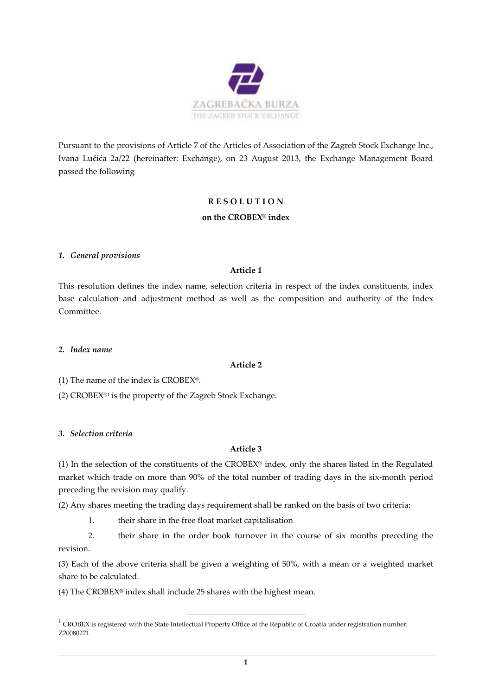

Pursuant to the provisions of Article 7 of the Articles of Association of the Zagreb Stock Exchange Inc., Ivana Lučića 2a/22 (hereinafter: Exchange), on 23 August 2013, the Exchange Management Board passed the following

# **R E S O L U T I O N**

# **on the CROBEX® index**

### *1. General provisions*

# **Article 1**

This resolution defines the index name, selection criteria in respect of the index constituents, index base calculation and adjustment method as well as the composition and authority of the Index Committee.

### *2. Index name*

# **Article 2**

(1) The name of the index is  $CROBEX<sup>®</sup>$ .

(2) CROBEX®1 is the property of the Zagreb Stock Exchange.

### *3. Selection criteria*

# **Article 3**

(1) In the selection of the constituents of the CROBEX® index, only the shares listed in the Regulated market which trade on more than 90% of the total number of trading days in the six-month period preceding the revision may qualify.

(2) Any shares meeting the trading days requirement shall be ranked on the basis of two criteria:

1. their share in the free float market capitalisation

2. their share in the order book turnover in the course of six months preceding the revision.

(3) Each of the above criteria shall be given a weighting of 50%, with a mean or a weighted market share to be calculated.

(4) The CROBEX**®** index shall include 25 shares with the highest mean.

 $1$  CROBEX is registered with the State Intellectual Property Office of the Republic of Croatia under registration number: Z20080271.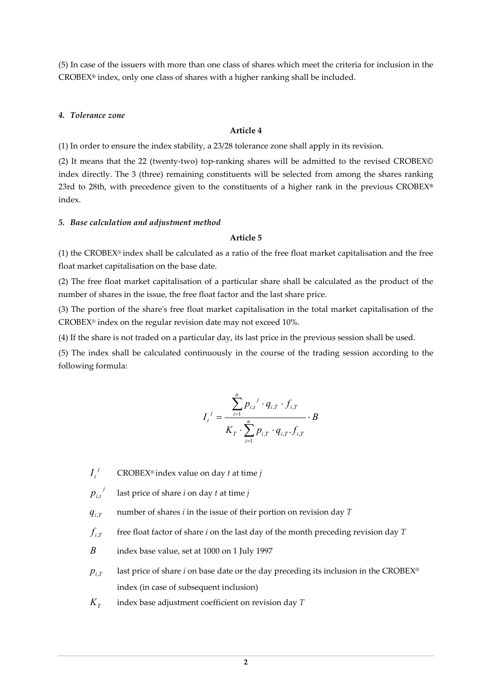(5) In case of the issuers with more than one class of shares which meet the criteria for inclusion in the CROBEX**®** index, only one class of shares with a higher ranking shall be included.

### *4. Tolerance zone*

### **Article 4**

(1) In order to ensure the index stability, a 23/28 tolerance zone shall apply in its revision.

(2) It means that the 22 (twenty-two) top-ranking shares will be admitted to the revised CROBEX© index directly. The 3 (three) remaining constituents will be selected from among the shares ranking 23rd to 28th, with precedence given to the constituents of a higher rank in the previous CROBEX**®** index.

#### *5. Base calculation and adjustment method*

#### **Article 5**

(1) the CROBEX® index shall be calculated as a ratio of the free float market capitalisation and the free float market capitalisation on the base date.

(2) The free float market capitalisation of a particular share shall be calculated as the product of the number of shares in the issue, the free float factor and the last share price.

(3) The portion of the share's free float market capitalisation in the total market capitalisation of the CROBEX® index on the regular revision date may not exceed 10%.

(4) If the share is not traded on a particular day, its last price in the previous session shall be used.

(5) The index shall be calculated continuously in the course of the trading session according to the following formula:

$$
I_{t}^{j} = \frac{\sum_{i=1}^{n} p_{i,t}^{j} \cdot q_{i,T} \cdot f_{i,T}}{K_{T} \cdot \sum_{i=1}^{n} p_{i,T} \cdot q_{i,T} \cdot f_{i,T}} \cdot B
$$

*I t j* CROBEX® index value on day *t* at time *j*

 $p_{i,t}^{\phantom{i,j}j}$ , last price of share *i* on day *t* at time *j* 

 $q_{i,T}$ number of shares *i* in the issue of their portion on revision day *T* 

 $f_{i,I}$ free float factor of share *i* on the last day of the month preceding revision day *T*

*B* index base value, set at 1000 on 1 July 1997

- $p_{i,I}$  last price of share *i* on base date or the day preceding its inclusion in the CROBEX® index (in case of subsequent inclusion)
- $K_r$ index base adjustment coefficient on revision day *T*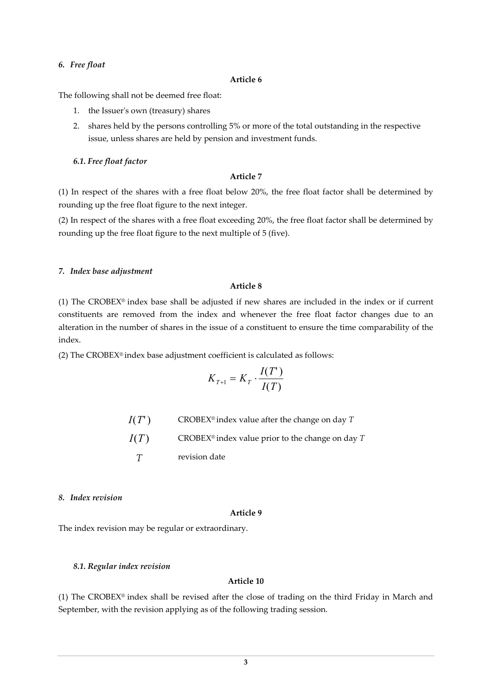#### *6. Free float*

#### **Article 6**

The following shall not be deemed free float:

- 1. the Issuer's own (treasury) shares
- 2. shares held by the persons controlling 5% or more of the total outstanding in the respective issue, unless shares are held by pension and investment funds.

### *6.1. Free float factor*

# **Article 7**

(1) In respect of the shares with a free float below 20%, the free float factor shall be determined by rounding up the free float figure to the next integer.

(2) In respect of the shares with a free float exceeding 20%, the free float factor shall be determined by rounding up the free float figure to the next multiple of 5 (five).

#### *7. Index base adjustment*

# **Article 8**

(1) The CROBEX® index base shall be adjusted if new shares are included in the index or if current constituents are removed from the index and whenever the free float factor changes due to an alteration in the number of shares in the issue of a constituent to ensure the time comparability of the index.

(2) The CROBEX® index base adjustment coefficient is calculated as follows:

$$
K_{T+1} = K_T \cdot \frac{I(T)}{I(T)}
$$

 $I(T')$  CROBEX<sup>®</sup> index value after the change on day *T I*(*T*) CROBEX<sup>®</sup> index value prior to the change on day *T T* revision date

### *8. Index revision*

#### **Article 9**

The index revision may be regular or extraordinary.

### *8.1. Regular index revision*

### **Article 10**

(1) The CROBEX® index shall be revised after the close of trading on the third Friday in March and September, with the revision applying as of the following trading session.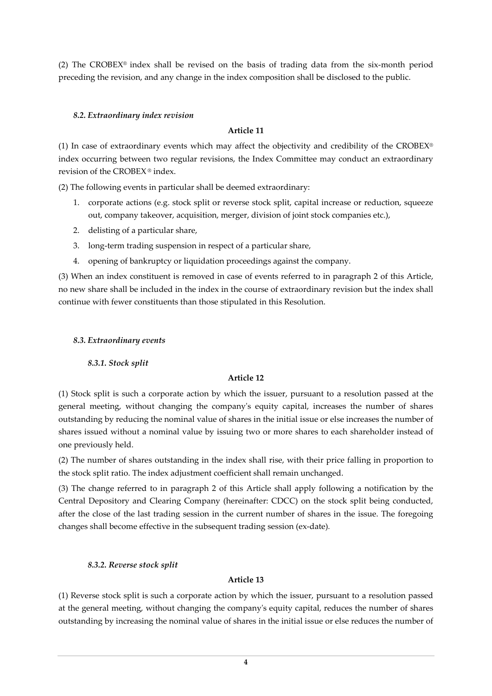(2) The CROBEX® index shall be revised on the basis of trading data from the six-month period preceding the revision, and any change in the index composition shall be disclosed to the public.

# *8.2. Extraordinary index revision*

# **Article 11**

(1) In case of extraordinary events which may affect the objectivity and credibility of the CROBEX® index occurring between two regular revisions, the Index Committee may conduct an extraordinary revision of the CROBEX ® index.

(2) The following events in particular shall be deemed extraordinary:

- 1. corporate actions (e.g. stock split or reverse stock split, capital increase or reduction, squeeze out, company takeover, acquisition, merger, division of joint stock companies etc.),
- 2. delisting of a particular share,
- 3. long-term trading suspension in respect of a particular share,
- 4. opening of bankruptcy or liquidation proceedings against the company.

(3) When an index constituent is removed in case of events referred to in paragraph 2 of this Article, no new share shall be included in the index in the course of extraordinary revision but the index shall continue with fewer constituents than those stipulated in this Resolution.

# *8.3. Extraordinary events*

*8.3.1. Stock split* 

# **Article 12**

(1) Stock split is such a corporate action by which the issuer, pursuant to a resolution passed at the general meeting, without changing the company's equity capital, increases the number of shares outstanding by reducing the nominal value of shares in the initial issue or else increases the number of shares issued without a nominal value by issuing two or more shares to each shareholder instead of one previously held.

(2) The number of shares outstanding in the index shall rise, with their price falling in proportion to the stock split ratio. The index adjustment coefficient shall remain unchanged.

(3) The change referred to in paragraph 2 of this Article shall apply following a notification by the Central Depository and Clearing Company (hereinafter: CDCC) on the stock split being conducted, after the close of the last trading session in the current number of shares in the issue. The foregoing changes shall become effective in the subsequent trading session (ex-date)*.*

# *8.3.2. Reverse stock split*

# **Article 13**

(1) Reverse stock split is such a corporate action by which the issuer, pursuant to a resolution passed at the general meeting, without changing the company's equity capital, reduces the number of shares outstanding by increasing the nominal value of shares in the initial issue or else reduces the number of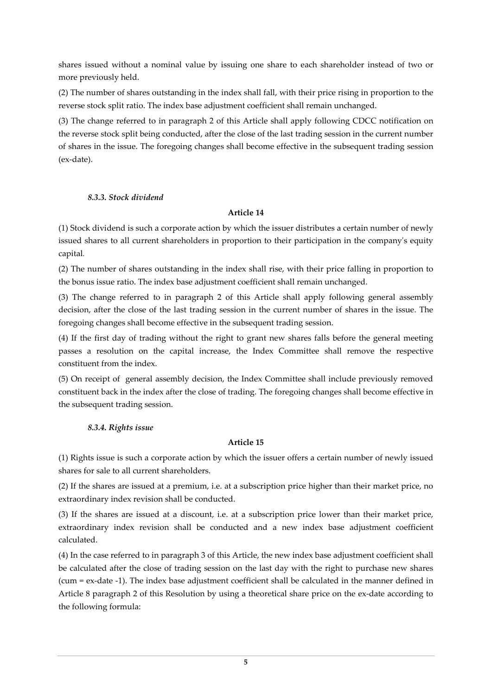shares issued without a nominal value by issuing one share to each shareholder instead of two or more previously held.

(2) The number of shares outstanding in the index shall fall, with their price rising in proportion to the reverse stock split ratio. The index base adjustment coefficient shall remain unchanged.

(3) The change referred to in paragraph 2 of this Article shall apply following CDCC notification on the reverse stock split being conducted, after the close of the last trading session in the current number of shares in the issue. The foregoing changes shall become effective in the subsequent trading session (ex-date).

# *8.3.3. Stock dividend*

# **Article 14**

(1) Stock dividend is such a corporate action by which the issuer distributes a certain number of newly issued shares to all current shareholders in proportion to their participation in the company's equity capital*.*

(2) The number of shares outstanding in the index shall rise, with their price falling in proportion to the bonus issue ratio. The index base adjustment coefficient shall remain unchanged.

(3) The change referred to in paragraph 2 of this Article shall apply following general assembly decision, after the close of the last trading session in the current number of shares in the issue. The foregoing changes shall become effective in the subsequent trading session.

(4) If the first day of trading without the right to grant new shares falls before the general meeting passes a resolution on the capital increase, the Index Committee shall remove the respective constituent from the index.

(5) On receipt of general assembly decision, the Index Committee shall include previously removed constituent back in the index after the close of trading. The foregoing changes shall become effective in the subsequent trading session.

# *8.3.4. Rights issue*

# **Article 15**

(1) Rights issue is such a corporate action by which the issuer offers a certain number of newly issued shares for sale to all current shareholders.

(2) If the shares are issued at a premium, i.e. at a subscription price higher than their market price, no extraordinary index revision shall be conducted.

(3) If the shares are issued at a discount, i.e. at a subscription price lower than their market price, extraordinary index revision shall be conducted and a new index base adjustment coefficient calculated.

(4) In the case referred to in paragraph 3 of this Article, the new index base adjustment coefficient shall be calculated after the close of trading session on the last day with the right to purchase new shares (cum = ex-date -1). The index base adjustment coefficient shall be calculated in the manner defined in Article 8 paragraph 2 of this Resolution by using a theoretical share price on the ex-date according to the following formula: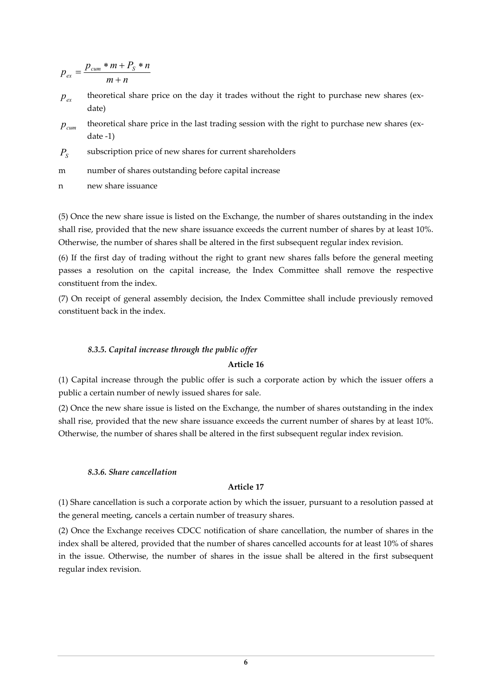$$
p_{ex} = \frac{p_{cum} * m + P_s * n}{m + n}
$$

- $p_{\scriptscriptstyle e}$ theoretical share price on the day it trades without the right to purchase new shares (exdate)
- *pcum* theoretical share price in the last trading session with the right to purchase new shares (exdate -1)
- $P_{S}$ subscription price of new shares for current shareholders
- m number of shares outstanding before capital increase
- n new share issuance

(5) Once the new share issue is listed on the Exchange, the number of shares outstanding in the index shall rise, provided that the new share issuance exceeds the current number of shares by at least 10%. Otherwise, the number of shares shall be altered in the first subsequent regular index revision.

(6) If the first day of trading without the right to grant new shares falls before the general meeting passes a resolution on the capital increase, the Index Committee shall remove the respective constituent from the index.

(7) On receipt of general assembly decision, the Index Committee shall include previously removed constituent back in the index.

### *8.3.5. Capital increase through the public offer*

### **Article 16**

(1) Capital increase through the public offer is such a corporate action by which the issuer offers a public a certain number of newly issued shares for sale.

(2) Once the new share issue is listed on the Exchange, the number of shares outstanding in the index shall rise, provided that the new share issuance exceeds the current number of shares by at least 10%. Otherwise, the number of shares shall be altered in the first subsequent regular index revision.

### *8.3.6. Share cancellation*

### **Article 17**

(1) Share cancellation is such a corporate action by which the issuer, pursuant to a resolution passed at the general meeting, cancels a certain number of treasury shares.

(2) Once the Exchange receives CDCC notification of share cancellation, the number of shares in the index shall be altered, provided that the number of shares cancelled accounts for at least 10% of shares in the issue. Otherwise, the number of shares in the issue shall be altered in the first subsequent regular index revision.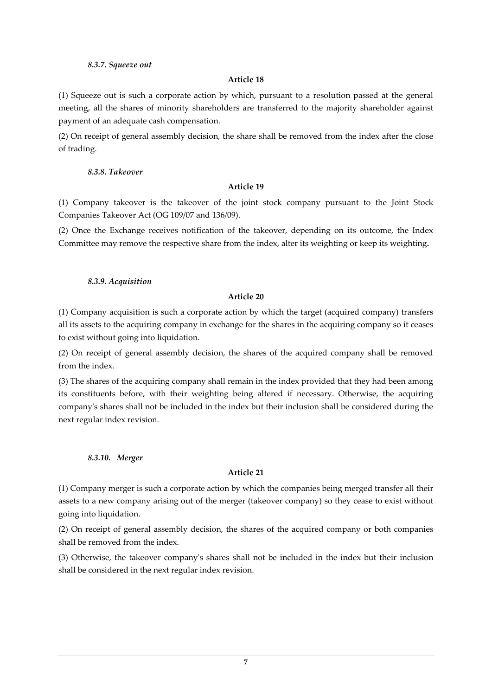### *8.3.7. Squeeze out*

## **Article 18**

(1) Squeeze out is such a corporate action by which, pursuant to a resolution passed at the general meeting, all the shares of minority shareholders are transferred to the majority shareholder against payment of an adequate cash compensation.

(2) On receipt of general assembly decision, the share shall be removed from the index after the close of trading.

## *8.3.8. Takeover*

# **Article 19**

(1) Company takeover is the takeover of the joint stock company pursuant to the Joint Stock Companies Takeover Act (OG 109/07 and 136/09).

(2) Once the Exchange receives notification of the takeover, depending on its outcome, the Index Committee may remove the respective share from the index, alter its weighting or keep its weighting**.**

### *8.3.9. Acquisition*

# **Article 20**

(1) Company acquisition is such a corporate action by which the target (acquired company) transfers all its assets to the acquiring company in exchange for the shares in the acquiring company so it ceases to exist without going into liquidation.

(2) On receipt of general assembly decision, the shares of the acquired company shall be removed from the index.

(3) The shares of the acquiring company shall remain in the index provided that they had been among its constituents before, with their weighting being altered if necessary. Otherwise, the acquiring company's shares shall not be included in the index but their inclusion shall be considered during the next regular index revision.

# *8.3.10. Merger*

# **Article 21**

(1) Company merger is such a corporate action by which the companies being merged transfer all their assets to a new company arising out of the merger (takeover company) so they cease to exist without going into liquidation.

(2) On receipt of general assembly decision, the shares of the acquired company or both companies shall be removed from the index.

(3) Otherwise, the takeover company's shares shall not be included in the index but their inclusion shall be considered in the next regular index revision.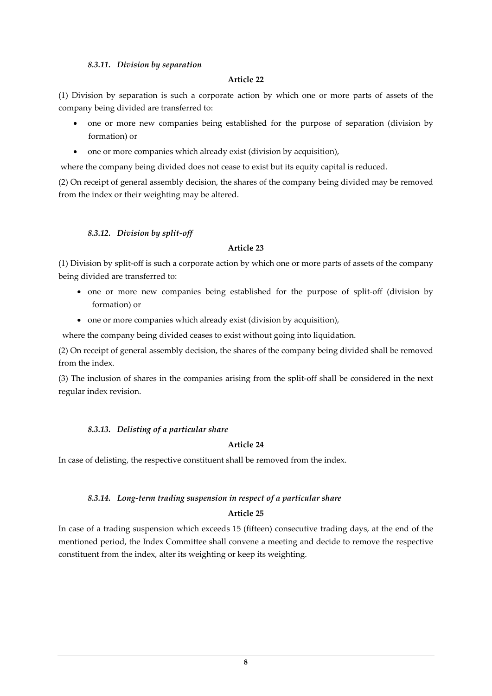### *8.3.11. Division by separation*

### **Article 22**

(1) Division by separation is such a corporate action by which one or more parts of assets of the company being divided are transferred to:

- one or more new companies being established for the purpose of separation (division by formation) or
- one or more companies which already exist (division by acquisition),

where the company being divided does not cease to exist but its equity capital is reduced.

(2) On receipt of general assembly decision, the shares of the company being divided may be removed from the index or their weighting may be altered.

# *8.3.12. Division by split-off*

### **Article 23**

(1) Division by split-off is such a corporate action by which one or more parts of assets of the company being divided are transferred to:

- one or more new companies being established for the purpose of split-off (division by formation) or
- one or more companies which already exist (division by acquisition),

where the company being divided ceases to exist without going into liquidation.

(2) On receipt of general assembly decision, the shares of the company being divided shall be removed from the index.

(3) The inclusion of shares in the companies arising from the split-off shall be considered in the next regular index revision.

# *8.3.13. Delisting of a particular share*

### **Article 24**

In case of delisting, the respective constituent shall be removed from the index.

# *8.3.14. Long-term trading suspension in respect of a particular share*

# **Article 25**

In case of a trading suspension which exceeds 15 (fifteen) consecutive trading days, at the end of the mentioned period, the Index Committee shall convene a meeting and decide to remove the respective constituent from the index, alter its weighting or keep its weighting.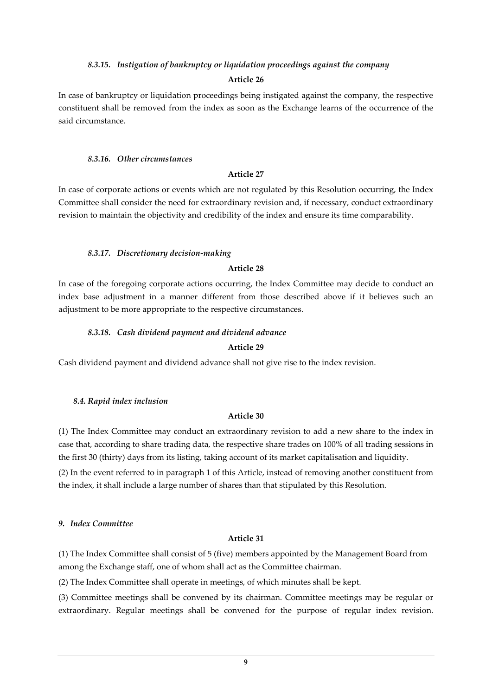### *8.3.15. Instigation of bankruptcy or liquidation proceedings against the company*

### **Article 26**

In case of bankruptcy or liquidation proceedings being instigated against the company, the respective constituent shall be removed from the index as soon as the Exchange learns of the occurrence of the said circumstance.

#### *8.3.16. Other circumstances*

#### **Article 27**

In case of corporate actions or events which are not regulated by this Resolution occurring, the Index Committee shall consider the need for extraordinary revision and, if necessary, conduct extraordinary revision to maintain the objectivity and credibility of the index and ensure its time comparability.

### *8.3.17. Discretionary decision-making*

# **Article 28**

In case of the foregoing corporate actions occurring, the Index Committee may decide to conduct an index base adjustment in a manner different from those described above if it believes such an adjustment to be more appropriate to the respective circumstances.

# *8.3.18. Cash dividend payment and dividend advance*

### **Article 29**

Cash dividend payment and dividend advance shall not give rise to the index revision.

### *8.4. Rapid index inclusion*

### **Article 30**

(1) The Index Committee may conduct an extraordinary revision to add a new share to the index in case that, according to share trading data, the respective share trades on 100% of all trading sessions in the first 30 (thirty) days from its listing, taking account of its market capitalisation and liquidity.

(2) In the event referred to in paragraph 1 of this Article, instead of removing another constituent from the index, it shall include a large number of shares than that stipulated by this Resolution.

### *9. Index Committee*

## **Article 31**

(1) The Index Committee shall consist of 5 (five) members appointed by the Management Board from among the Exchange staff, one of whom shall act as the Committee chairman.

(2) The Index Committee shall operate in meetings, of which minutes shall be kept.

(3) Committee meetings shall be convened by its chairman. Committee meetings may be regular or extraordinary. Regular meetings shall be convened for the purpose of regular index revision.